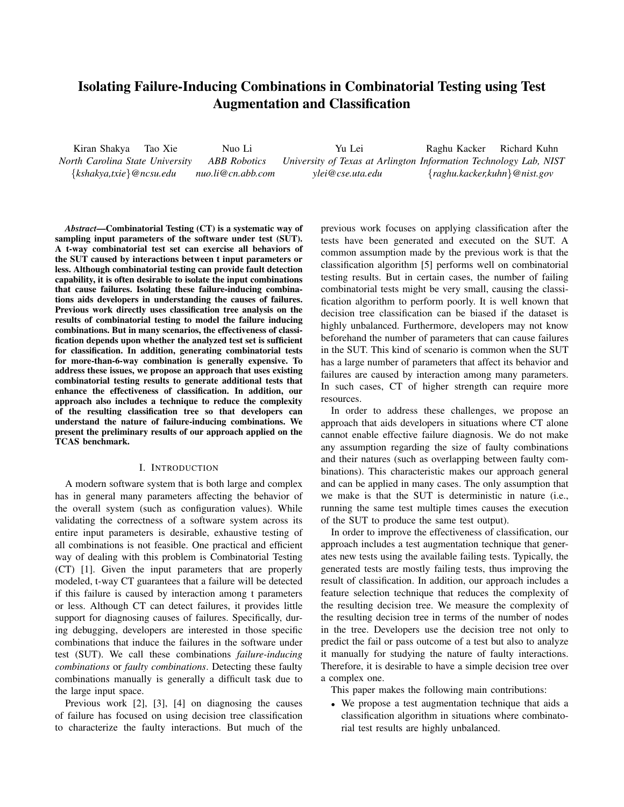# Isolating Failure-Inducing Combinations in Combinatorial Testing using Test Augmentation and Classification

Kiran Shakya Tao Xie Nuo Li Yu Lei Raghu Kacker Richard Kuhn *North Carolina State University ABB Robotics University of Texas at Arlington Information Technology Lab, NIST {kshakya,txie}@ncsu.edu nuo.li@cn.abb.com ylei@cse.uta.edu {raghu.kacker,kuhn}@nist.gov* 

*Abstract*—Combinatorial Testing (CT) is a systematic way of sampling input parameters of the software under test (SUT). A t-way combinatorial test set can exercise all behaviors of the SUT caused by interactions between t input parameters or less. Although combinatorial testing can provide fault detection capability, it is often desirable to isolate the input combinations that cause failures. Isolating these failure-inducing combinations aids developers in understanding the causes of failures. Previous work directly uses classification tree analysis on the results of combinatorial testing to model the failure inducing combinations. But in many scenarios, the effectiveness of classification depends upon whether the analyzed test set is sufficient for classification. In addition, generating combinatorial tests for more-than-6-way combination is generally expensive. To address these issues, we propose an approach that uses existing combinatorial testing results to generate additional tests that enhance the effectiveness of classification. In addition, our approach also includes a technique to reduce the complexity of the resulting classification tree so that developers can understand the nature of failure-inducing combinations. We present the preliminary results of our approach applied on the TCAS benchmark.

#### I. INTRODUCTION

A modern software system that is both large and complex has in general many parameters affecting the behavior of the overall system (such as configuration values). While validating the correctness of a software system across its entire input parameters is desirable, exhaustive testing of all combinations is not feasible. One practical and efficient way of dealing with this problem is Combinatorial Testing (CT) [1]. Given the input parameters that are properly modeled, t-way CT guarantees that a failure will be detected if this failure is caused by interaction among t parameters or less. Although CT can detect failures, it provides little support for diagnosing causes of failures. Specifically, during debugging, developers are interested in those specific combinations that induce the failures in the software under test (SUT). We call these combinations *failure-inducing combinations* or *faulty combinations*. Detecting these faulty combinations manually is generally a difficult task due to the large input space.

Previous work [2], [3], [4] on diagnosing the causes of failure has focused on using decision tree classification to characterize the faulty interactions. But much of the previous work focuses on applying classification after the tests have been generated and executed on the SUT. A common assumption made by the previous work is that the classification algorithm [5] performs well on combinatorial testing results. But in certain cases, the number of failing combinatorial tests might be very small, causing the classification algorithm to perform poorly. It is well known that decision tree classification can be biased if the dataset is highly unbalanced. Furthermore, developers may not know beforehand the number of parameters that can cause failures in the SUT. This kind of scenario is common when the SUT has a large number of parameters that affect its behavior and failures are caused by interaction among many parameters. In such cases, CT of higher strength can require more resources.

In order to address these challenges, we propose an approach that aids developers in situations where CT alone cannot enable effective failure diagnosis. We do not make any assumption regarding the size of faulty combinations and their natures (such as overlapping between faulty combinations). This characteristic makes our approach general and can be applied in many cases. The only assumption that we make is that the SUT is deterministic in nature (i.e., running the same test multiple times causes the execution of the SUT to produce the same test output).

In order to improve the effectiveness of classification, our approach includes a test augmentation technique that generates new tests using the available failing tests. Typically, the generated tests are mostly failing tests, thus improving the result of classification. In addition, our approach includes a feature selection technique that reduces the complexity of the resulting decision tree. We measure the complexity of the resulting decision tree in terms of the number of nodes in the tree. Developers use the decision tree not only to predict the fail or pass outcome of a test but also to analyze it manually for studying the nature of faulty interactions. Therefore, it is desirable to have a simple decision tree over a complex one.

This paper makes the following main contributions:

• We propose a test augmentation technique that aids a classification algorithm in situations where combinatorial test results are highly unbalanced.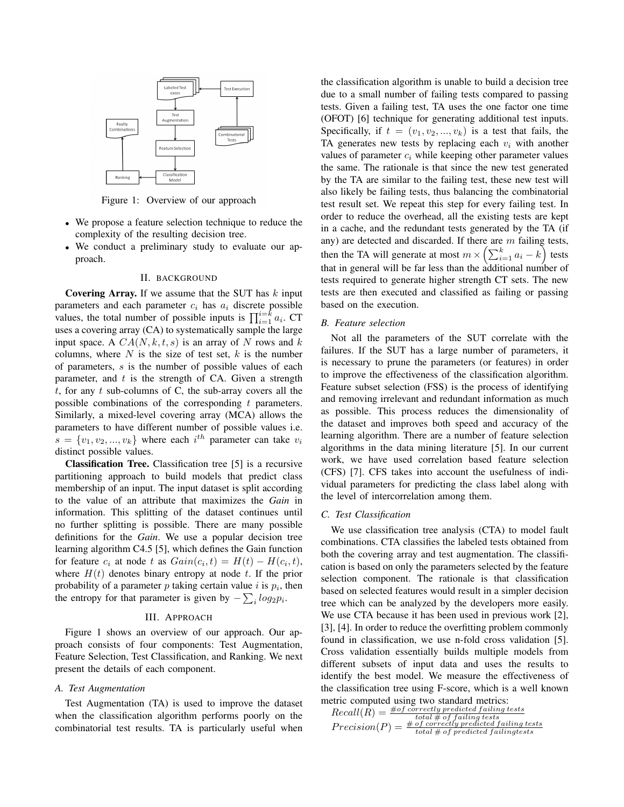

Figure 1: Overview of our approach

- We propose a feature selection technique to reduce the complexity of the resulting decision tree.
- We conduct a preliminary study to evaluate our approach.

#### II. BACKGROUND

Covering Array. If we assume that the SUT has *k* input parameters and each parameter  $c_i$  has  $a_i$  discrete possible values, the total number of possible inputs is  $\prod_{i=1}^{i=k} a_i$ . CT uses a covering array (CA) to systematically sample the large input space. A  $CA(N, k, t, s)$  is an array of N rows and  $k$ columns, where *N* is the size of test set, *k* is the number of parameters, *s* is the number of possible values of each parameter, and *t* is the strength of CA. Given a strength *t*, for any *t* sub-columns of C, the sub-array covers all the possible combinations of the corresponding *t* parameters. Similarly, a mixed-level covering array (MCA) allows the parameters to have different number of possible values i.e.  $s = \{v_1, v_2, ..., v_k\}$  where each  $i^{th}$  parameter can take  $v_i$ distinct possible values.

Classification Tree. Classification tree [5] is a recursive partitioning approach to build models that predict class membership of an input. The input dataset is split according to the value of an attribute that maximizes the *Gain* in information. This splitting of the dataset continues until no further splitting is possible. There are many possible definitions for the *Gain*. We use a popular decision tree learning algorithm C4.5 [5], which defines the Gain function for feature  $c_i$  at node  $t$  as  $Gain(c_i, t) = H(t) - H(c_i, t)$ , where  $H(t)$  denotes binary entropy at node  $t$ . If the prior probability of a parameter  $p$  taking certain value  $i$  is  $p_i$ , then the entropy for that parameter is given by  $-\sum_{i} log_2 p_i$ .

#### III. APPROACH

Figure 1 shows an overview of our approach. Our approach consists of four components: Test Augmentation, Feature Selection, Test Classification, and Ranking. We next present the details of each component.

#### *A. Test Augmentation*

Test Augmentation (TA) is used to improve the dataset when the classification algorithm performs poorly on the combinatorial test results. TA is particularly useful when the classification algorithm is unable to build a decision tree due to a small number of failing tests compared to passing tests. Given a failing test, TA uses the one factor one time (OFOT) [6] technique for generating additional test inputs. Specifically, if  $t = (v_1, v_2, \dots, v_k)$  is a test that fails, the TA generates new tests by replacing each  $v_i$  with another values of parameter  $c_i$  while keeping other parameter values the same. The rationale is that since the new test generated by the TA are similar to the failing test, these new test will also likely be failing tests, thus balancing the combinatorial test result set. We repeat this step for every failing test. In order to reduce the overhead, all the existing tests are kept in a cache, and the redundant tests generated by the TA (if any) are detected and discarded. If there are *m* failing tests, then the TA will generate at most  $m \times \left(\sum_{i=1}^{k} a_i - k\right)$  tests that in general will be far less than the additional number of tests required to generate higher strength CT sets. The new tests are then executed and classified as failing or passing based on the execution.

#### *B. Feature selection*

Not all the parameters of the SUT correlate with the failures. If the SUT has a large number of parameters, it is necessary to prune the parameters (or features) in order to improve the effectiveness of the classification algorithm. Feature subset selection (FSS) is the process of identifying and removing irrelevant and redundant information as much as possible. This process reduces the dimensionality of the dataset and improves both speed and accuracy of the learning algorithm. There are a number of feature selection algorithms in the data mining literature [5]. In our current work, we have used correlation based feature selection (CFS) [7]. CFS takes into account the usefulness of individual parameters for predicting the class label along with the level of intercorrelation among them.

### *C. Test Classification*

We use classification tree analysis (CTA) to model fault combinations. CTA classifies the labeled tests obtained from both the covering array and test augmentation. The classification is based on only the parameters selected by the feature selection component. The rationale is that classification based on selected features would result in a simpler decision tree which can be analyzed by the developers more easily. We use CTA because it has been used in previous work [2], [3], [4]. In order to reduce the overfitting problem commonly found in classification, we use n-fold cross validation [5]. Cross validation essentially builds multiple models from different subsets of input data and uses the results to identify the best model. We measure the effectiveness of the classification tree using F-score, which is a well known metric computed using two standard metrics:

| $# of correctly predicted failing tests$<br>$Recall(R) =$        |
|------------------------------------------------------------------|
| $total # of failing tests# of correctly predicted failing tests$ |
| Precision(P)                                                     |
| $total \# of predicted failurests$                               |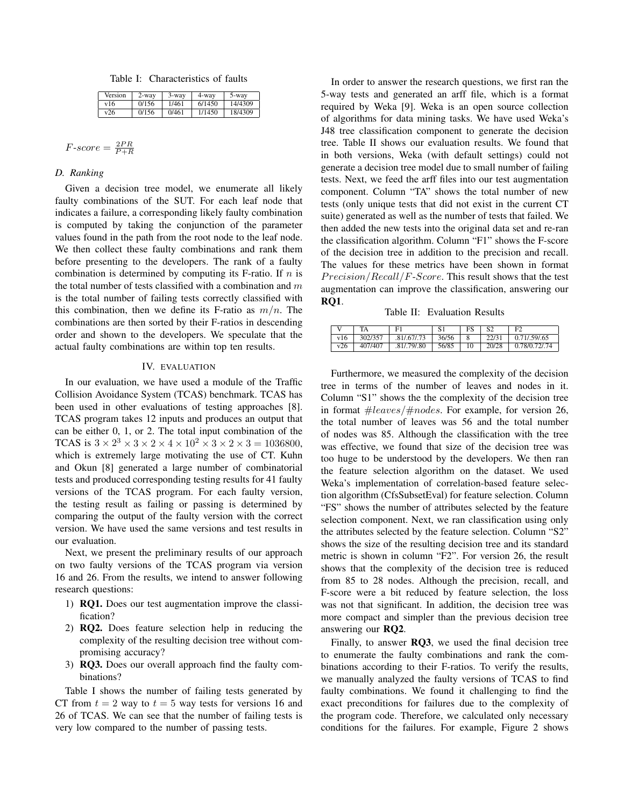Table I: Characteristics of faults

| Version | 2-wav | $3$ -way | 4-way  | 5-way   |
|---------|-------|----------|--------|---------|
| v16     | 0/156 | 1/461    | 6/1450 | 14/4309 |
| v26     | 0/156 | 0/461    | 1/1450 | 18/4309 |

$$
F\text{-}score = \frac{2PR}{P+R}
$$

## *D. Ranking*

Given a decision tree model, we enumerate all likely faulty combinations of the SUT. For each leaf node that indicates a failure, a corresponding likely faulty combination is computed by taking the conjunction of the parameter values found in the path from the root node to the leaf node. We then collect these faulty combinations and rank them before presenting to the developers. The rank of a faulty combination is determined by computing its F-ratio. If *n* is the total number of tests classified with a combination and *m* is the total number of failing tests correctly classified with this combination, then we define its F-ratio as *m/n*. The combinations are then sorted by their F-ratios in descending order and shown to the developers. We speculate that the actual faulty combinations are within top ten results.

## IV. EVALUATION

In our evaluation, we have used a module of the Traffic Collision Avoidance System (TCAS) benchmark. TCAS has been used in other evaluations of testing approaches [8]. TCAS program takes 12 inputs and produces an output that can be either 0, 1, or 2. The total input combination of the TCAS is  $3 \times 2^3 \times 3 \times 2 \times 4 \times 10^2 \times 3 \times 2 \times 3 = 1036800$ , which is extremely large motivating the use of CT. Kuhn and Okun [8] generated a large number of combinatorial tests and produced corresponding testing results for 41 faulty versions of the TCAS program. For each faulty version, the testing result as failing or passing is determined by comparing the output of the faulty version with the correct version. We have used the same versions and test results in our evaluation.

Next, we present the preliminary results of our approach on two faulty versions of the TCAS program via version 16 and 26. From the results, we intend to answer following research questions:

- 1) RQ1. Does our test augmentation improve the classification?
- 2) RQ2. Does feature selection help in reducing the complexity of the resulting decision tree without compromising accuracy?
- 3) RQ3. Does our overall approach find the faulty combinations?

Table I shows the number of failing tests generated by CT from  $t = 2$  way to  $t = 5$  way tests for versions 16 and 26 of TCAS. We can see that the number of failing tests is very low compared to the number of passing tests.

In order to answer the research questions, we first ran the 5-way tests and generated an arff file, which is a format required by Weka [9]. Weka is an open source collection of algorithms for data mining tasks. We have used Weka's J48 tree classification component to generate the decision tree. Table II shows our evaluation results. We found that in both versions, Weka (with default settings) could not generate a decision tree model due to small number of failing tests. Next, we feed the arff files into our test augmentation component. Column "TA" shows the total number of new tests (only unique tests that did not exist in the current CT suite) generated as well as the number of tests that failed. We then added the new tests into the original data set and re-ran the classification algorithm. Column "F1" shows the F-score of the decision tree in addition to the precision and recall. The values for these metrics have been shown in format *Precision/Recall/F*-*Score*. This result shows that the test augmentation can improve the classification, answering our RQ1.

Table II: Evaluation Results

|     |         | F1          |       | FS. | S <sub>2</sub> | F2                   |
|-----|---------|-------------|-------|-----|----------------|----------------------|
| v16 | 302/357 | .81/.67/.73 | 36/56 | 8   |                | $22/31$ 0.71/.59/.65 |
| v26 | 407/407 | .81/.79/.80 | 56/85 | 10  |                | 20/28 0.78/0.72/.74  |

Furthermore, we measured the complexity of the decision tree in terms of the number of leaves and nodes in it. Column "S1" shows the the complexity of the decision tree in format #*leaves/*#*nodes*. For example, for version 26, the total number of leaves was 56 and the total number of nodes was 85. Although the classification with the tree was effective, we found that size of the decision tree was too huge to be understood by the developers. We then ran the feature selection algorithm on the dataset. We used Weka's implementation of correlation-based feature selection algorithm (CfsSubsetEval) for feature selection. Column "FS" shows the number of attributes selected by the feature selection component. Next, we ran classification using only the attributes selected by the feature selection. Column "S2" shows the size of the resulting decision tree and its standard metric is shown in column "F2". For version 26, the result shows that the complexity of the decision tree is reduced from 85 to 28 nodes. Although the precision, recall, and F-score were a bit reduced by feature selection, the loss was not that significant. In addition, the decision tree was more compact and simpler than the previous decision tree answering our RQ2.

Finally, to answer RQ3, we used the final decision tree to enumerate the faulty combinations and rank the combinations according to their F-ratios. To verify the results, we manually analyzed the faulty versions of TCAS to find faulty combinations. We found it challenging to find the exact preconditions for failures due to the complexity of the program code. Therefore, we calculated only necessary conditions for the failures. For example, Figure 2 shows